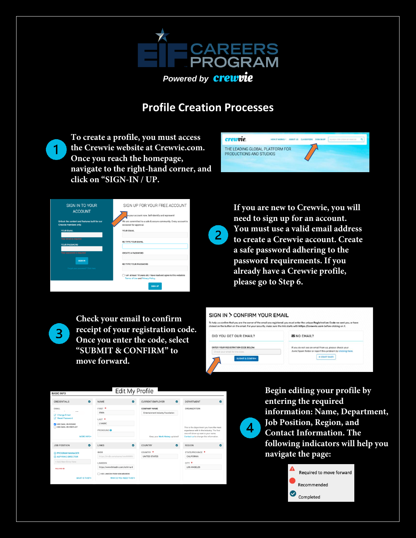

## **Profile Creation Processes**

 $2<sup>1</sup>$ 

**To create a profile, you must access the Crewvie website at Crewvie.com. Once you reach the homepage, navigate to the right-hand corner, and click on "SIGN-IN / UP.**

 $\mathbf 1$ 

 $\overline{3}$ 





**If you are new to Crewvie, you will need to sign up for an account. You must use a valid email address to create a Crewvie account. Create a safe password adhering to the password requirements. If you already have a Crewvie profile, please go to Step 6.** 

**Check your email to confirm receipt of your registration code. Once you enter the code, select "SUBMIT & CONFIRM" to move forward.** 



 $\overline{4}$ 



**Begin editing your profile by entering the required information: Name, Department, Job Position, Region, and Contact Information. The following indicators will help you navigate the page:**